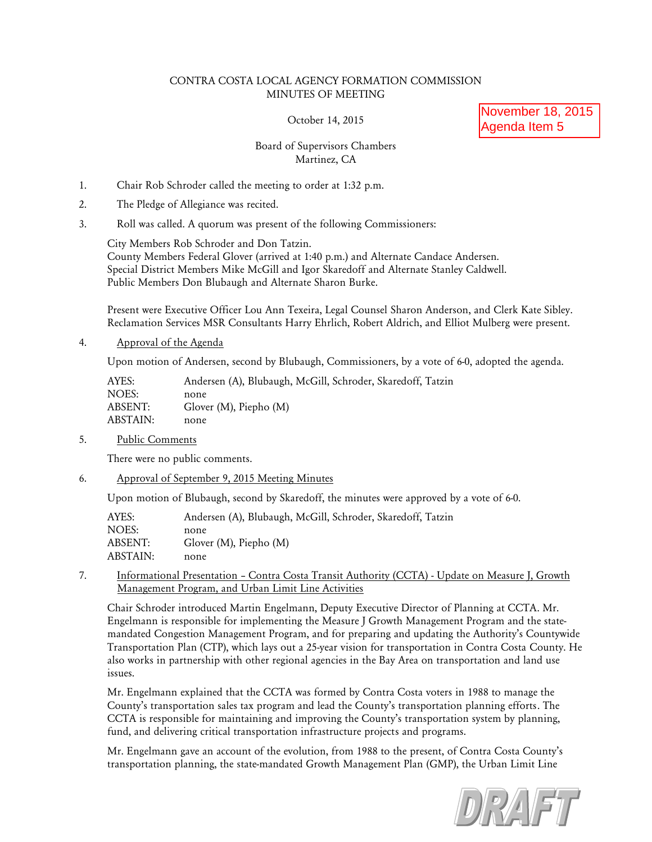## CONTRA COSTA LOCAL AGENCY FORMATION COMMISSION MINUTES OF MEETING

October 14, 2015

November 18, 2015 Agenda Item 5

# Board of Supervisors Chambers Martinez, CA

- 1. Chair Rob Schroder called the meeting to order at 1:32 p.m.
- 2. The Pledge of Allegiance was recited.
- 3. Roll was called. A quorum was present of the following Commissioners:

City Members Rob Schroder and Don Tatzin. County Members Federal Glover (arrived at 1:40 p.m.) and Alternate Candace Andersen. Special District Members Mike McGill and Igor Skaredoff and Alternate Stanley Caldwell. Public Members Don Blubaugh and Alternate Sharon Burke.

Present were Executive Officer Lou Ann Texeira, Legal Counsel Sharon Anderson, and Clerk Kate Sibley. Reclamation Services MSR Consultants Harry Ehrlich, Robert Aldrich, and Elliot Mulberg were present.

4. Approval of the Agenda

Upon motion of Andersen, second by Blubaugh, Commissioners, by a vote of 6-0, adopted the agenda.

| AYES:    | Andersen (A), Blubaugh, McGill, Schroder, Skaredoff, Tatzin |
|----------|-------------------------------------------------------------|
| NOES:    | none                                                        |
| ABSENT:  | Glover $(M)$ , Piepho $(M)$                                 |
| ABSTAIN: | none                                                        |

5. Public Comments

There were no public comments.

6. Approval of September 9, 2015 Meeting Minutes

Upon motion of Blubaugh, second by Skaredoff, the minutes were approved by a vote of 6-0.

| AYES:    | Andersen (A), Blubaugh, McGill, Schroder, Skaredoff, Tatzin |
|----------|-------------------------------------------------------------|
| NOES:    | none                                                        |
| ABSENT:  | Glover $(M)$ , Piepho $(M)$                                 |
| ABSTAIN: | none                                                        |

7. Informational Presentation – Contra Costa Transit Authority (CCTA) - Update on Measure J, Growth Management Program, and Urban Limit Line Activities

Chair Schroder introduced Martin Engelmann, Deputy Executive Director of Planning at CCTA. Mr. Engelmann is responsible for implementing the Measure J Growth Management Program and the statemandated Congestion Management Program, and for preparing and updating the Authority's Countywide Transportation Plan (CTP), which lays out a 25-year vision for transportation in Contra Costa County. He also works in partnership with other regional agencies in the Bay Area on transportation and land use issues.

Mr. Engelmann explained that the CCTA was formed by Contra Costa voters in 1988 to manage the County's transportation sales tax program and lead the County's transportation planning efforts. The CCTA is responsible for maintaining and improving the County's transportation system by planning, fund, and delivering critical transportation infrastructure projects and programs.

Mr. Engelmann gave an account of the evolution, from 1988 to the present, of Contra Costa County's transportation planning, the state-mandated Growth Management Plan (GMP), the Urban Limit Line

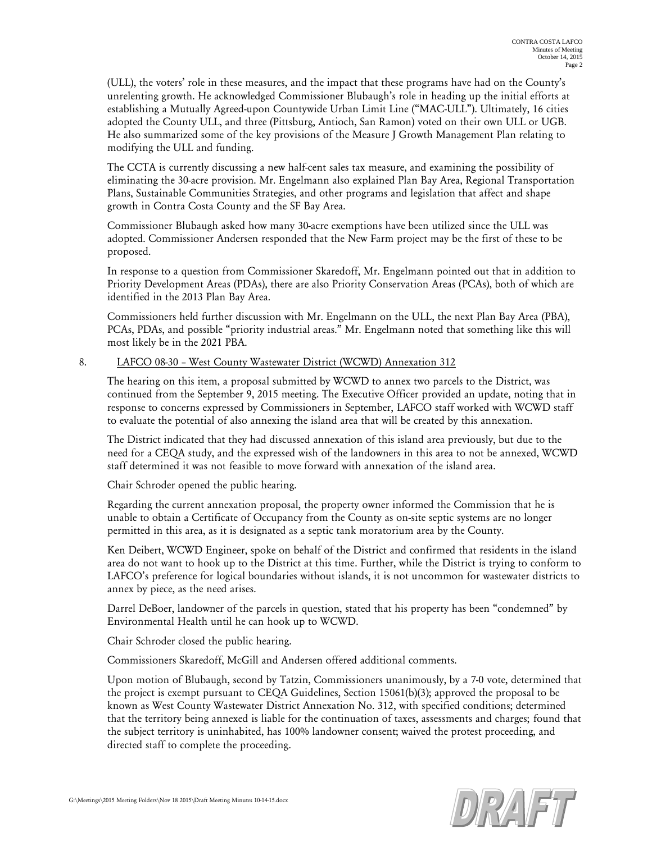(ULL), the voters' role in these measures, and the impact that these programs have had on the County's unrelenting growth. He acknowledged Commissioner Blubaugh's role in heading up the initial efforts at establishing a Mutually Agreed-upon Countywide Urban Limit Line ("MAC-ULL"). Ultimately, 16 cities adopted the County ULL, and three (Pittsburg, Antioch, San Ramon) voted on their own ULL or UGB. He also summarized some of the key provisions of the Measure J Growth Management Plan relating to modifying the ULL and funding.

The CCTA is currently discussing a new half-cent sales tax measure, and examining the possibility of eliminating the 30-acre provision. Mr. Engelmann also explained Plan Bay Area, Regional Transportation Plans, Sustainable Communities Strategies, and other programs and legislation that affect and shape growth in Contra Costa County and the SF Bay Area.

Commissioner Blubaugh asked how many 30-acre exemptions have been utilized since the ULL was adopted. Commissioner Andersen responded that the New Farm project may be the first of these to be proposed.

In response to a question from Commissioner Skaredoff, Mr. Engelmann pointed out that in addition to Priority Development Areas (PDAs), there are also Priority Conservation Areas (PCAs), both of which are identified in the 2013 Plan Bay Area.

Commissioners held further discussion with Mr. Engelmann on the ULL, the next Plan Bay Area (PBA), PCAs, PDAs, and possible "priority industrial areas." Mr. Engelmann noted that something like this will most likely be in the 2021 PBA.

## 8. LAFCO 08-30 – West County Wastewater District (WCWD) Annexation 312

The hearing on this item, a proposal submitted by WCWD to annex two parcels to the District, was continued from the September 9, 2015 meeting. The Executive Officer provided an update, noting that in response to concerns expressed by Commissioners in September, LAFCO staff worked with WCWD staff to evaluate the potential of also annexing the island area that will be created by this annexation.

The District indicated that they had discussed annexation of this island area previously, but due to the need for a CEQA study, and the expressed wish of the landowners in this area to not be annexed, WCWD staff determined it was not feasible to move forward with annexation of the island area.

Chair Schroder opened the public hearing.

Regarding the current annexation proposal, the property owner informed the Commission that he is unable to obtain a Certificate of Occupancy from the County as on-site septic systems are no longer permitted in this area, as it is designated as a septic tank moratorium area by the County.

Ken Deibert, WCWD Engineer, spoke on behalf of the District and confirmed that residents in the island area do not want to hook up to the District at this time. Further, while the District is trying to conform to LAFCO's preference for logical boundaries without islands, it is not uncommon for wastewater districts to annex by piece, as the need arises.

Darrel DeBoer, landowner of the parcels in question, stated that his property has been "condemned" by Environmental Health until he can hook up to WCWD.

Chair Schroder closed the public hearing.

Commissioners Skaredoff, McGill and Andersen offered additional comments.

Upon motion of Blubaugh, second by Tatzin, Commissioners unanimously, by a 7-0 vote, determined that the project is exempt pursuant to CEQA Guidelines, Section 15061(b)(3); approved the proposal to be known as West County Wastewater District Annexation No. 312, with specified conditions; determined that the territory being annexed is liable for the continuation of taxes, assessments and charges; found that the subject territory is uninhabited, has 100% landowner consent; waived the protest proceeding, and directed staff to complete the proceeding.

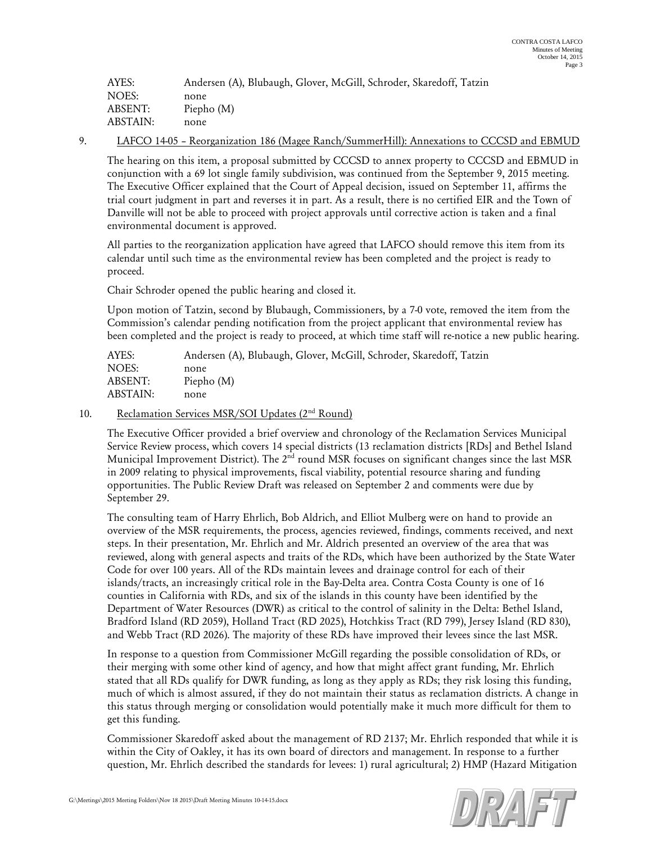| AYES:    | Andersen (A), Blubaugh, Glover, McGill, Schroder, Skaredoff, Tatzin |
|----------|---------------------------------------------------------------------|
| NOES:    | none                                                                |
| ABSENT:  | Piepho $(M)$                                                        |
| ABSTAIN: | none                                                                |

#### 9. LAFCO 14-05 – Reorganization 186 (Magee Ranch/SummerHill): Annexations to CCCSD and EBMUD

The hearing on this item, a proposal submitted by CCCSD to annex property to CCCSD and EBMUD in conjunction with a 69 lot single family subdivision, was continued from the September 9, 2015 meeting. The Executive Officer explained that the Court of Appeal decision, issued on September 11, affirms the trial court judgment in part and reverses it in part. As a result, there is no certified EIR and the Town of Danville will not be able to proceed with project approvals until corrective action is taken and a final environmental document is approved.

All parties to the reorganization application have agreed that LAFCO should remove this item from its calendar until such time as the environmental review has been completed and the project is ready to proceed.

Chair Schroder opened the public hearing and closed it.

Upon motion of Tatzin, second by Blubaugh, Commissioners, by a 7-0 vote, removed the item from the Commission's calendar pending notification from the project applicant that environmental review has been completed and the project is ready to proceed, at which time staff will re-notice a new public hearing.

| AYES:    | Andersen (A), Blubaugh, Glover, McGill, Schroder, Skaredoff, Tatzin |
|----------|---------------------------------------------------------------------|
| NOES:    | none                                                                |
| ABSENT:  | Piepho (M)                                                          |
| ABSTAIN: | none                                                                |
|          |                                                                     |

## 10. Reclamation Services MSR/SOI Updates (2<sup>nd</sup> Round)

The Executive Officer provided a brief overview and chronology of the Reclamation Services Municipal Service Review process, which covers 14 special districts (13 reclamation districts [RDs] and Bethel Island Municipal Improvement District). The  $2<sup>nd</sup>$  round MSR focuses on significant changes since the last MSR in 2009 relating to physical improvements, fiscal viability, potential resource sharing and funding opportunities. The Public Review Draft was released on September 2 and comments were due by September 29.

The consulting team of Harry Ehrlich, Bob Aldrich, and Elliot Mulberg were on hand to provide an overview of the MSR requirements, the process, agencies reviewed, findings, comments received, and next steps. In their presentation, Mr. Ehrlich and Mr. Aldrich presented an overview of the area that was reviewed, along with general aspects and traits of the RDs, which have been authorized by the State Water Code for over 100 years. All of the RDs maintain levees and drainage control for each of their islands/tracts, an increasingly critical role in the Bay-Delta area. Contra Costa County is one of 16 counties in California with RDs, and six of the islands in this county have been identified by the Department of Water Resources (DWR) as critical to the control of salinity in the Delta: Bethel Island, Bradford Island (RD 2059), Holland Tract (RD 2025), Hotchkiss Tract (RD 799), Jersey Island (RD 830), and Webb Tract (RD 2026). The majority of these RDs have improved their levees since the last MSR.

In response to a question from Commissioner McGill regarding the possible consolidation of RDs, or their merging with some other kind of agency, and how that might affect grant funding, Mr. Ehrlich stated that all RDs qualify for DWR funding, as long as they apply as RDs; they risk losing this funding, much of which is almost assured, if they do not maintain their status as reclamation districts. A change in this status through merging or consolidation would potentially make it much more difficult for them to get this funding.

Commissioner Skaredoff asked about the management of RD 2137; Mr. Ehrlich responded that while it is within the City of Oakley, it has its own board of directors and management. In response to a further question, Mr. Ehrlich described the standards for levees: 1) rural agricultural; 2) HMP (Hazard Mitigation

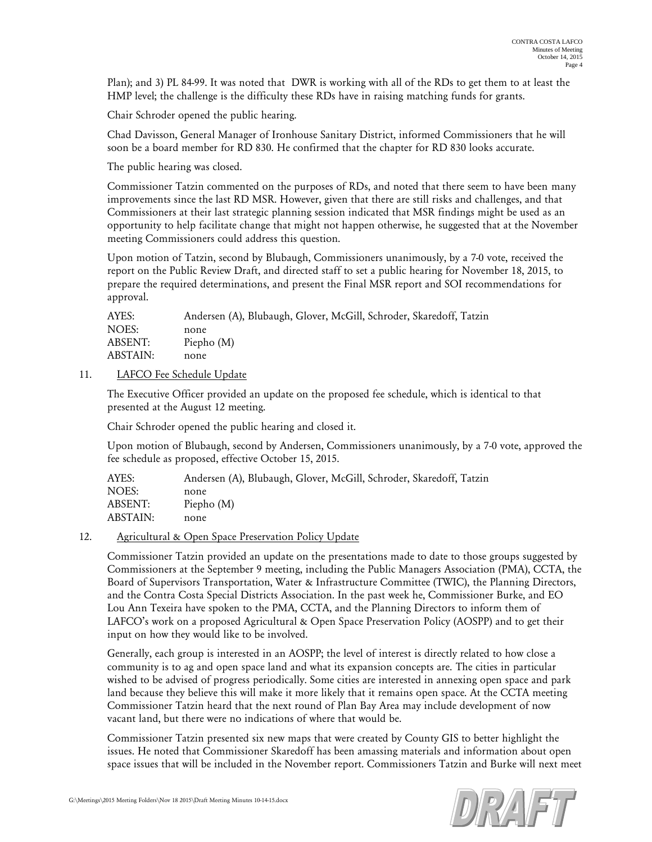Plan); and 3) PL 84-99. It was noted that DWR is working with all of the RDs to get them to at least the HMP level; the challenge is the difficulty these RDs have in raising matching funds for grants.

Chair Schroder opened the public hearing.

Chad Davisson, General Manager of Ironhouse Sanitary District, informed Commissioners that he will soon be a board member for RD 830. He confirmed that the chapter for RD 830 looks accurate.

The public hearing was closed.

Commissioner Tatzin commented on the purposes of RDs, and noted that there seem to have been many improvements since the last RD MSR. However, given that there are still risks and challenges, and that Commissioners at their last strategic planning session indicated that MSR findings might be used as an opportunity to help facilitate change that might not happen otherwise, he suggested that at the November meeting Commissioners could address this question.

Upon motion of Tatzin, second by Blubaugh, Commissioners unanimously, by a 7-0 vote, received the report on the Public Review Draft, and directed staff to set a public hearing for November 18, 2015, to prepare the required determinations, and present the Final MSR report and SOI recommendations for approval.

| AYES:    | Andersen (A), Blubaugh, Glover, McGill, Schroder, Skaredoff, Tatzin |
|----------|---------------------------------------------------------------------|
| NOES:    | none                                                                |
| ABSENT:  | Piepho $(M)$                                                        |
| ABSTAIN: | none                                                                |

## 11. LAFCO Fee Schedule Update

The Executive Officer provided an update on the proposed fee schedule, which is identical to that presented at the August 12 meeting.

Chair Schroder opened the public hearing and closed it.

Upon motion of Blubaugh, second by Andersen, Commissioners unanimously, by a 7-0 vote, approved the fee schedule as proposed, effective October 15, 2015.

| AYES:    | Andersen (A), Blubaugh, Glover, McGill, Schroder, Skaredoff, Tatzin |
|----------|---------------------------------------------------------------------|
| NOES:    | none                                                                |
| ABSENT:  | Piepho $(M)$                                                        |
| ABSTAIN: | none                                                                |

#### 12. Agricultural & Open Space Preservation Policy Update

Commissioner Tatzin provided an update on the presentations made to date to those groups suggested by Commissioners at the September 9 meeting, including the Public Managers Association (PMA), CCTA, the Board of Supervisors Transportation, Water & Infrastructure Committee (TWIC), the Planning Directors, and the Contra Costa Special Districts Association. In the past week he, Commissioner Burke, and EO Lou Ann Texeira have spoken to the PMA, CCTA, and the Planning Directors to inform them of LAFCO's work on a proposed Agricultural & Open Space Preservation Policy (AOSPP) and to get their input on how they would like to be involved.

Generally, each group is interested in an AOSPP; the level of interest is directly related to how close a community is to ag and open space land and what its expansion concepts are. The cities in particular wished to be advised of progress periodically. Some cities are interested in annexing open space and park land because they believe this will make it more likely that it remains open space. At the CCTA meeting Commissioner Tatzin heard that the next round of Plan Bay Area may include development of now vacant land, but there were no indications of where that would be.

Commissioner Tatzin presented six new maps that were created by County GIS to better highlight the issues. He noted that Commissioner Skaredoff has been amassing materials and information about open space issues that will be included in the November report. Commissioners Tatzin and Burke will next meet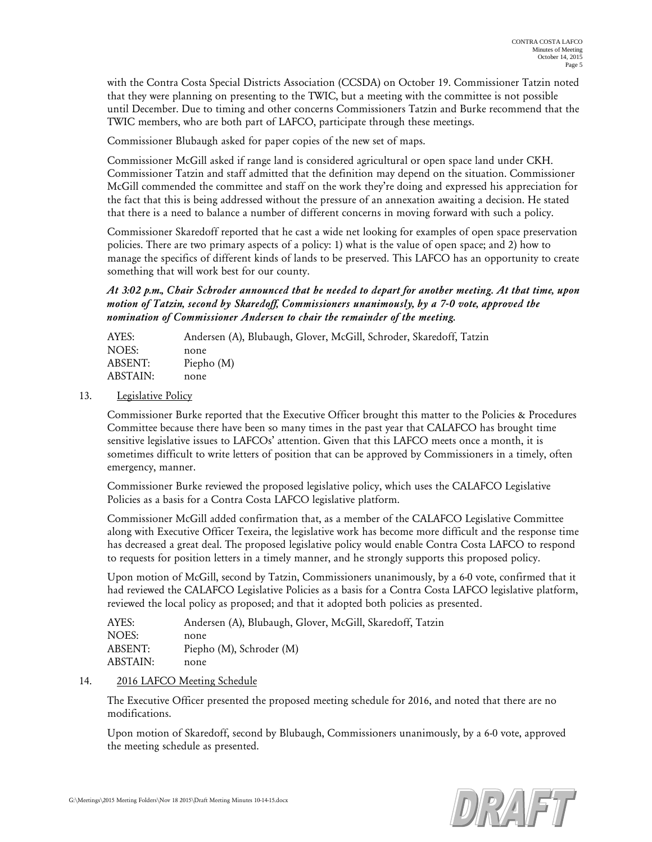with the Contra Costa Special Districts Association (CCSDA) on October 19. Commissioner Tatzin noted that they were planning on presenting to the TWIC, but a meeting with the committee is not possible until December. Due to timing and other concerns Commissioners Tatzin and Burke recommend that the TWIC members, who are both part of LAFCO, participate through these meetings.

Commissioner Blubaugh asked for paper copies of the new set of maps.

Commissioner McGill asked if range land is considered agricultural or open space land under CKH. Commissioner Tatzin and staff admitted that the definition may depend on the situation. Commissioner McGill commended the committee and staff on the work they're doing and expressed his appreciation for the fact that this is being addressed without the pressure of an annexation awaiting a decision. He stated that there is a need to balance a number of different concerns in moving forward with such a policy.

Commissioner Skaredoff reported that he cast a wide net looking for examples of open space preservation policies. There are two primary aspects of a policy: 1) what is the value of open space; and 2) how to manage the specifics of different kinds of lands to be preserved. This LAFCO has an opportunity to create something that will work best for our county.

*At 3:02 p.m., Chair Schroder announced that he needed to depart for another meeting. At that time, upon motion of Tatzin, second by Skaredoff, Commissioners unanimously, by a 7-0 vote, approved the nomination of Commissioner Andersen to chair the remainder of the meeting.*

| AYES:    | Andersen (A), Blubaugh, Glover, McGill, Schroder, Skaredoff, Tatzin |
|----------|---------------------------------------------------------------------|
| NOES:    | none                                                                |
| ABSENT:  | Piepho $(M)$                                                        |
| ABSTAIN: | none                                                                |

## 13. Legislative Policy

Commissioner Burke reported that the Executive Officer brought this matter to the Policies & Procedures Committee because there have been so many times in the past year that CALAFCO has brought time sensitive legislative issues to LAFCOs' attention. Given that this LAFCO meets once a month, it is sometimes difficult to write letters of position that can be approved by Commissioners in a timely, often emergency, manner.

Commissioner Burke reviewed the proposed legislative policy, which uses the CALAFCO Legislative Policies as a basis for a Contra Costa LAFCO legislative platform.

Commissioner McGill added confirmation that, as a member of the CALAFCO Legislative Committee along with Executive Officer Texeira, the legislative work has become more difficult and the response time has decreased a great deal. The proposed legislative policy would enable Contra Costa LAFCO to respond to requests for position letters in a timely manner, and he strongly supports this proposed policy.

Upon motion of McGill, second by Tatzin, Commissioners unanimously, by a 6-0 vote, confirmed that it had reviewed the CALAFCO Legislative Policies as a basis for a Contra Costa LAFCO legislative platform, reviewed the local policy as proposed; and that it adopted both policies as presented.

| AYES:    | Andersen (A), Blubaugh, Glover, McGill, Skaredoff, Tatzin |
|----------|-----------------------------------------------------------|
| NOES:    | none                                                      |
| ABSENT:  | Piepho (M), Schroder (M)                                  |
| ABSTAIN: | none                                                      |

#### 14. 2016 LAFCO Meeting Schedule

The Executive Officer presented the proposed meeting schedule for 2016, and noted that there are no modifications.

Upon motion of Skaredoff, second by Blubaugh, Commissioners unanimously, by a 6-0 vote, approved the meeting schedule as presented.